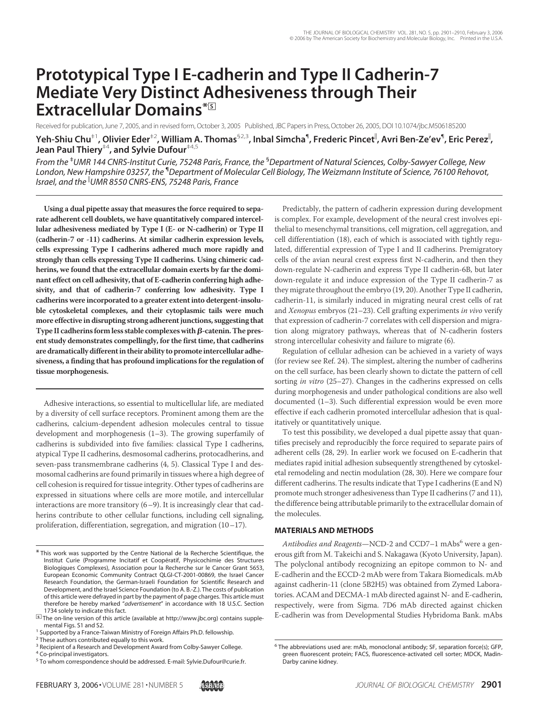# **Prototypical Type I E-cadherin and Type II Cadherin-7 Mediate Very Distinct Adhesiveness through Their Extracellular Domains\***□**<sup>S</sup>**

Received for publication, June 7, 2005, and in revised form, October 3, 2005 Published, JBC Papers in Press,October 26, 2005, DOI 10.1074/jbc.M506185200 **Yeh-Shiu Chu**‡1**, Olivier Eder**‡2**, William A. Thomas**§2,3**, Inbal Simcha**¶ **, Frederic Pincet , Avri Ben-Ze'ev**¶ **, Eric Perez ,**

**Jean Paul Thiery**‡4**, and Sylvie Dufour**‡4,5

*From the* ‡ *UMR 144 CNRS-Institut Curie, 75248 Paris, France, the* § *Department of Natural Sciences, Colby-Sawyer College, New London, New Hampshire 03257, the* ¶ *Department of Molecular Cell Biology, The Weizmann Institute of Science, 76100 Rehovot, Israel, and the UMR 8550 CNRS-ENS, 75248 Paris, France*

**Using a dual pipette assay that measures the force required to separate adherent cell doublets, we have quantitatively compared intercellular adhesiveness mediated by Type I (E- or N-cadherin) or Type II (cadherin-7 or -11) cadherins. At similar cadherin expression levels, cells expressing Type I cadherins adhered much more rapidly and strongly than cells expressing Type II cadherins. Using chimeric cadherins, we found that the extracellular domain exerts by far the dominant effect on cell adhesivity, that of E-cadherin conferring high adhesivity, and that of cadherin-7 conferring low adhesivity. Type I cadherins were incorporated to a greater extent into detergent-insoluble cytoskeletal complexes, and their cytoplasmic tails were much more effective in disrupting strong adherent junctions, suggesting that** Type II cadherins form less stable complexes with  $\beta$ -catenin. The pres**ent study demonstrates compellingly, for the first time, that cadherins** are dramatically different in their ability to promote intercellular adhe**siveness, a finding that has profound implications for the regulation of tissue morphogenesis.**

Adhesive interactions, so essential to multicellular life, are mediated by a diversity of cell surface receptors. Prominent among them are the cadherins, calcium-dependent adhesion molecules central to tissue development and morphogenesis (1–3). The growing superfamily of cadherins is subdivided into five families: classical Type I cadherins, atypical Type II cadherins, desmosomal cadherins, protocadherins, and seven-pass transmembrane cadherins (4, 5). Classical Type I and desmosomal cadherins are found primarily in tissues where a high degree of cell cohesion is required for tissue integrity. Other types of cadherins are expressed in situations where cells are more motile, and intercellular interactions are more transitory (6–9). It is increasingly clear that cadherins contribute to other cellular functions, including cell signaling, proliferation, differentiation, segregation, and migration (10–17).

Predictably, the pattern of cadherin expression during development is complex. For example, development of the neural crest involves epithelial to mesenchymal transitions, cell migration, cell aggregation, and cell differentiation (18), each of which is associated with tightly regulated, differential expression of Type I and II cadherins. Premigratory cells of the avian neural crest express first N-cadherin, and then they down-regulate N-cadherin and express Type II cadherin-6B, but later down-regulate it and induce expression of the Type II cadherin-7 as they migrate throughout the embryo (19, 20). Another Type II cadherin, cadherin-11, is similarly induced in migrating neural crest cells of rat and *Xenopus* embryos (21–23). Cell grafting experiments *in vivo* verify that expression of cadherin-7 correlates with cell dispersion and migration along migratory pathways, whereas that of N-cadherin fosters strong intercellular cohesivity and failure to migrate (6).

Regulation of cellular adhesion can be achieved in a variety of ways (for review see Ref. 24). The simplest, altering the number of cadherins on the cell surface, has been clearly shown to dictate the pattern of cell sorting *in vitro* (25–27). Changes in the cadherins expressed on cells during morphogenesis and under pathological conditions are also well documented (1–3). Such differential expression would be even more effective if each cadherin promoted intercellular adhesion that is qualitatively or quantitatively unique.

To test this possibility, we developed a dual pipette assay that quantifies precisely and reproducibly the force required to separate pairs of adherent cells (28, 29). In earlier work we focused on E-cadherin that mediates rapid initial adhesion subsequently strengthened by cytoskeletal remodeling and nectin modulation (28, 30). Here we compare four different cadherins. The results indicate that Type I cadherins (E and N) promote much stronger adhesiveness than Type II cadherins (7 and 11), the difference being attributable primarily to the extracellular domain of the molecules.

#### **MATERIALS AND METHODS**

Antibodies and Reagents-NCD-2 and CCD7-1 mAbs<sup>6</sup> were a generous gift from M. Takeichi and S. Nakagawa (Kyoto University, Japan). The polyclonal antibody recognizing an epitope common to N- and E-cadherin and the ECCD-2 mAb were from Takara Biomedicals. mAb against cadherin-11 (clone 5B2H5) was obtained from Zymed Laboratories. ACAM and DECMA-1 mAb directed against N- and E-cadherin, respectively, were from Sigma. 7D6 mAb directed against chicken E-cadherin was from Developmental Studies Hybridoma Bank. mAbs

<sup>\*</sup> This work was supported by the Centre National de la Recherche Scientifique, the Institut Curie (Programme Incitatif et Coopératif, Physicochimie des Structures Biologiques Complexes), Association pour la Recherche sur le Cancer Grant 5653, European Economic Community Contract QLGI-CT-2001-00869, the Israel Cancer Research Foundation, the German-Israeli Foundation for Scientific Research and Development, and the Israel Science Foundation (to A. B.-Z.). The costs of publication of this article were defrayed in part by the payment of page charges. This article must therefore be hereby marked "*advertisement*" in accordance with 18 U.S.C. Section

<sup>&</sup>lt;sup>5</sup> The on-line version of this article (available at http://www.jbc.org) contains supplemental Figs. S1 and S2.<br><sup>1</sup> Supported by a France-Taiwan Ministry of Foreign Affairs Ph.D. fellowship.

<sup>&</sup>lt;sup>2</sup> These authors contributed equally to this work.

<sup>&</sup>lt;sup>3</sup> Recipient of a Research and Development Award from Colby-Sawyer College.

<sup>4</sup> Co-principal investigators.

<sup>5</sup> To whom correspondence should be addressed. E-mail: Sylvie.Dufour@curie.fr.

<sup>6</sup> The abbreviations used are: mAb, monoclonal antibody; SF, separation force(s); GFP, green fluorescent protein; FACS, fluorescence-activated cell sorter; MDCK, Madin-Darby canine kidney.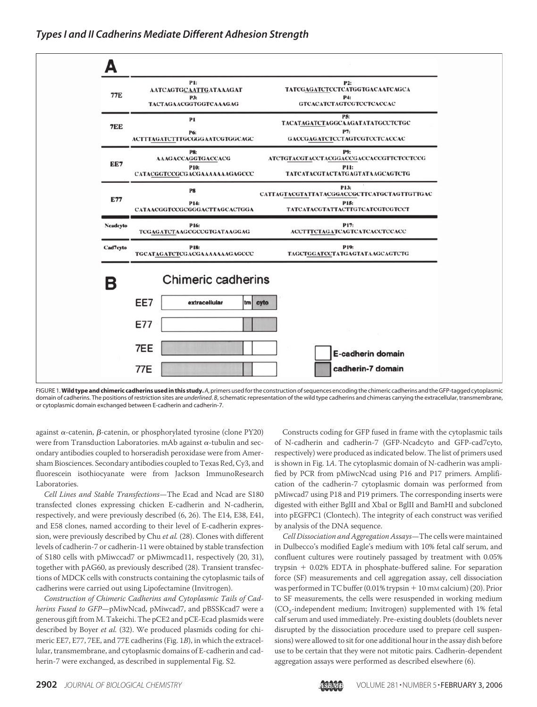

FIGURE 1.**Wild type and chimeric cadherins used in this study.** *A*, primers usedfor the construction of sequences encoding the chimeric cadherins and the GFP-tagged cytoplasmic domain of cadherins. The positions of restriction sites are *underlined. B*, schematic representation of the wild type cadherins and chimeras carrying the extracellular, transmembrane, or cytoplasmic domain exchanged between E-cadherin and cadherin-7.

against  $\alpha$ -catenin,  $\beta$ -catenin, or phosphorylated tyrosine (clone PY20) were from Transduction Laboratories. mAb against  $\alpha$ -tubulin and secondary antibodies coupled to horseradish peroxidase were from Amersham Biosciences. Secondary antibodies coupled to Texas Red, Cy3, and fluorescein isothiocyanate were from Jackson ImmunoResearch Laboratories.

*Cell Lines and Stable Transfections*—The Ecad and Ncad are S180 transfected clones expressing chicken E-cadherin and N-cadherin, respectively, and were previously described (6, 26). The E14, E38, E41, and E58 clones, named according to their level of E-cadherin expression, were previously described by Chu *et al.* (28). Clones with different levels of cadherin-7 or cadherin-11 were obtained by stable transfection of S180 cells with pMiwccad7 or pMiwmcad11, respectively (20, 31), together with pAG60, as previously described (28). Transient transfections of MDCK cells with constructs containing the cytoplasmic tails of cadherins were carried out using Lipofectamine (Invitrogen).

*Construction of Chimeric Cadherins and Cytoplasmic Tails of Cadherins Fused to GFP*—pMiwNcad, pMiwcad7, and pBSSKcad7 were a generous gift from M. Takeichi. The pCE2 and pCE-Ecad plasmids were described by Boyer *et al.* (32). We produced plasmids coding for chimeric EE7, E77, 7EE, and 77E cadherins (Fig. 1*B*), in which the extracellular, transmembrane, and cytoplasmic domains of E-cadherin and cadherin-7 were exchanged, as described in supplemental Fig. S2.

Constructs coding for GFP fused in frame with the cytoplasmic tails of N-cadherin and cadherin-7 (GFP-Ncadcyto and GFP-cad7cyto, respectively) were produced as indicated below. The list of primers used is shown in Fig. 1*A*. The cytoplasmic domain of N-cadherin was amplified by PCR from pMiwcNcad using P16 and P17 primers. Amplification of the cadherin-7 cytoplasmic domain was performed from pMiwcad7 using P18 and P19 primers. The corresponding inserts were digested with either BglII and XbaI or BglII and BamHI and subcloned into pEGFPC1 (Clontech). The integrity of each construct was verified by analysis of the DNA sequence.

*Cell Dissociation and Aggregation Assays*—The cells were maintained in Dulbecco's modified Eagle's medium with 10% fetal calf serum, and confluent cultures were routinely passaged by treatment with 0.05% trypsin  $+$  0.02% EDTA in phosphate-buffered saline. For separation force (SF) measurements and cell aggregation assay, cell dissociation was performed in TC buffer (0.01% trypsin + 10 mM calcium) (20). Prior to SF measurements, the cells were resuspended in working medium  $(CO<sub>2</sub>-independent medium; Invitrogen) supplemented with 1% fetal$ calf serum and used immediately. Pre-existing doublets (doublets never disrupted by the dissociation procedure used to prepare cell suspensions) were allowed to sit for one additional hour in the assay dish before use to be certain that they were not mitotic pairs. Cadherin-dependent aggregation assays were performed as described elsewhere (6).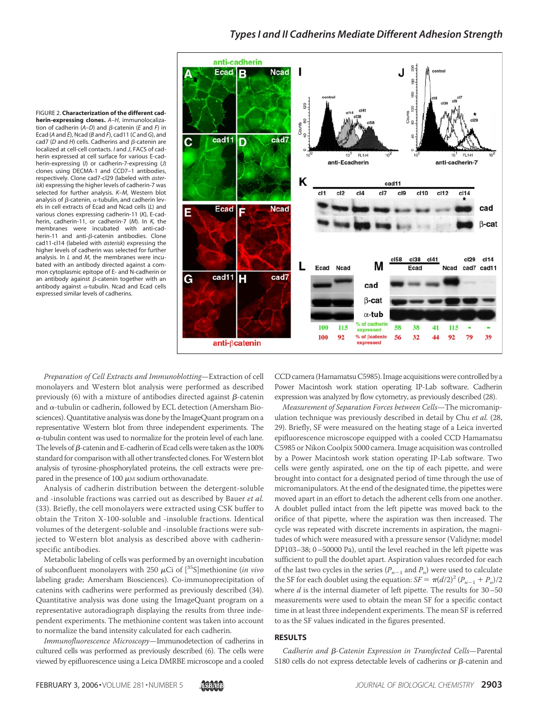### *Types I and II Cadherins Mediate Different Adhesion Strength*

FIGURE 2. **Characterization of the different cadherin-expressing clones.** *A–H*, immunolocalization of cadherin  $(A-D)$  and  $\beta$ -catenin (*E* and *F*) in Ecad (*A* and *E*), Ncad (*B* and *F*), cad11 (*C* and *G*), and cad7 ( $D$  and  $H$ ) cells. Cadherins and  $\beta$ -catenin are localized at cell-cell contacts. *I* and *J*, FACS of cadherin expressed at cell surface for various E-cadherin-expressing (*I*) or cadherin-7-expressing (*J*) clones using DECMA-1 and CCD7–1 antibodies, respectively. Clone cad7-cl29 (labeled with *asterisk*) expressing the higher levels of cadherin-7 was selected for further analysis. *K–M*, Western blot analysis of  $\beta$ -catenin,  $\alpha$ -tubulin, and cadherin levels in cell extracts of Ecad and Ncad cells (*L*) and various clones expressing cadherin-11 (*K*), E-cadherin, cadherin-11, or cadherin-7 (*M*). In *K*, the membranes were incubated with anti-cadherin-11 and anti- $\beta$ -catenin antibodies. Clone cad11-cl14 (labeled with *asterisk*) expressing the higher levels of cadherin was selected for further analysis. In *L* and *M*, the membranes were incubated with an antibody directed against a common cytoplasmic epitope of E- and N-cadherin or an antibody against  $\beta$ -catenin together with an antibody against  $\alpha$ -tubulin. Ncad and Ecad cells expressed similar levels of cadherins.



*Preparation of Cell Extracts and Immunoblotting*—Extraction of cell monolayers and Western blot analysis were performed as described previously (6) with a mixture of antibodies directed against  $\beta$ -catenin and  $\alpha$ -tubulin or cadherin, followed by ECL detection (Amersham Biosciences). Quantitative analysis was done by the ImageQuant program on a representative Western blot from three independent experiments. The  $\alpha$ -tubulin content was used to normalize for the protein level of each lane. The levels of  $\beta$ -catenin and E-cadherin of Ecad cells were taken as the 100% standard for comparison with all other transfected clones. For Western blot analysis of tyrosine-phosphorylated proteins, the cell extracts were prepared in the presence of 100  $\mu$ M sodium orthovanadate.

Analysis of cadherin distribution between the detergent-soluble and -insoluble fractions was carried out as described by Bauer *et al.* (33). Briefly, the cell monolayers were extracted using CSK buffer to obtain the Triton X-100-soluble and -insoluble fractions. Identical volumes of the detergent-soluble and -insoluble fractions were subjected to Western blot analysis as described above with cadherinspecific antibodies.

Metabolic labeling of cells was performed by an overnight incubation of subconfluent monolayers with 250  $\mu$ Ci of  $[^{35}S]$ methionine (*in vivo* labeling grade; Amersham Biosciences). Co-immunoprecipitation of catenins with cadherins were performed as previously described (34). Quantitative analysis was done using the ImageQuant program on a representative autoradiograph displaying the results from three independent experiments. The methionine content was taken into account to normalize the band intensity calculated for each cadherin.

*Immunofluorescence Microscopy*—Immunodetection of cadherins in cultured cells was performed as previously described (6). The cells were viewed by epifluorescence using a Leica DMRBE microscope and a cooled

CCD camera (HamamatsuC5985). Image acquisitions were controlled by a Power Macintosh work station operating IP-Lab software. Cadherin expression was analyzed by flow cytometry, as previously described (28).

*Measurement of Separation Forces between Cells*—The micromanipulation technique was previously described in detail by Chu *et al.* (28, 29). Briefly, SF were measured on the heating stage of a Leica inverted epifluorescence microscope equipped with a cooled CCD Hamamatsu C5985 or Nikon Coolpix 5000 camera. Image acquisition was controlled by a Power Macintosh work station operating IP-Lab software. Two cells were gently aspirated, one on the tip of each pipette, and were brought into contact for a designated period of time through the use of micromanipulators. At the end of the designated time, the pipettes were moved apart in an effort to detach the adherent cells from one another. A doublet pulled intact from the left pipette was moved back to the orifice of that pipette, where the aspiration was then increased. The cycle was repeated with discrete increments in aspiration, the magnitudes of which were measured with a pressure sensor (Validyne; model DP103–38; 0–50000 Pa), until the level reached in the left pipette was sufficient to pull the doublet apart. Aspiration values recorded for each of the last two cycles in the series  $(P_{n-1}$  and  $P_n$ ) were used to calculate the SF for each doublet using the equation:  $SF = \pi (d/2)^2 (P_{n-1} + P_n)/2$ where *d* is the internal diameter of left pipette. The results for 30–50 measurements were used to obtain the mean SF for a specific contact time in at least three independent experiments. The mean SF is referred to as the SF values indicated in the figures presented.

#### **RESULTS**

Cadherin and  $\beta$ -Catenin Expression in Transfected Cells-Parental S180 cells do not express detectable levels of cadherins or  $\beta$ -catenin and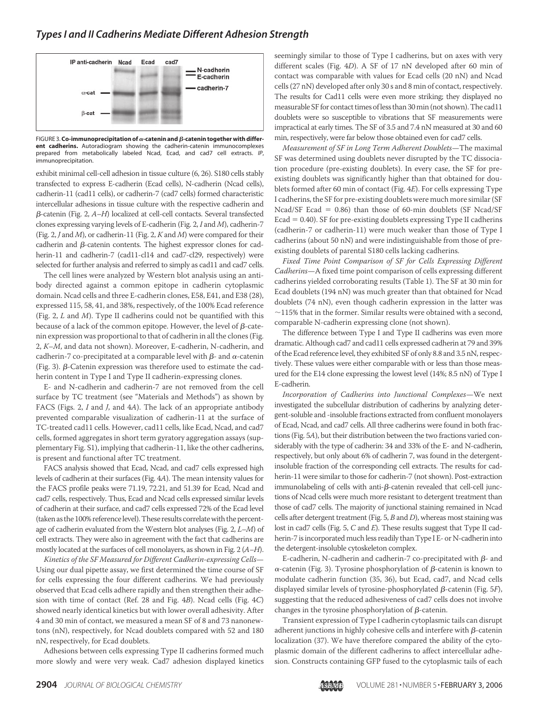

FIGURE 3. **Co-immunoprecipitation of**  $\alpha$ **-catenin and**  $\beta$ **-catenin together with different cadherins.** Autoradiogram showing the cadherin-catenin immunocomplexes prepared from metabolically labeled Ncad, Ecad, and cad7 cell extracts. *IP*, immunoprecipitation.

exhibit minimal cell-cell adhesion in tissue culture (6, 26). S180 cells stably transfected to express E-cadherin (Ecad cells), N-cadherin (Ncad cells), cadherin-11 (cad11 cells), or cadherin-7 (cad7 cells) formed characteristic intercellular adhesions in tissue culture with the respective cadherin and --catenin (Fig. 2, *A–H*) localized at cell-cell contacts. Several transfected clones expressing varying levels of E-cadherin (Fig. 2, *I* and *M*), cadherin-7 (Fig. 2, *J* and *M*), or cadherin-11 (Fig. 2, *K* and *M*) were compared for their cadherin and  $\beta$ -catenin contents. The highest expressor clones for cadherin-11 and cadherin-7 (cad11-cl14 and cad7-cl29, respectively) were selected for further analysis and referred to simply as cad11 and cad7 cells.

The cell lines were analyzed by Western blot analysis using an antibody directed against a common epitope in cadherin cytoplasmic domain. Ncad cells and three E-cadherin clones, E58, E41, and E38 (28), expressed 115, 58, 41, and 38%, respectively, of the 100% Ecad reference (Fig. 2, *L* and *M*). Type II cadherins could not be quantified with this because of a lack of the common epitope. However, the level of  $\beta$ -catenin expression was proportional to that of cadherin in all the clones (Fig. 2, *K–M*, and data not shown). Moreover, E-cadherin, N-cadherin, and cadherin-7 co-precipitated at a comparable level with  $\beta$ - and  $\alpha$ -catenin (Fig. 3).  $\beta$ -Catenin expression was therefore used to estimate the cadherin content in Type I and Type II cadherin-expressing clones.

E- and N-cadherin and cadherin-7 are not removed from the cell surface by TC treatment (see "Materials and Methods") as shown by FACS (Figs. 2, *I* and *J*, and 4*A*). The lack of an appropriate antibody prevented comparable visualization of cadherin-11 at the surface of TC-treated cad11 cells. However, cad11 cells, like Ecad, Ncad, and cad7 cells, formed aggregates in short term gyratory aggregation assays (supplementary Fig. S1), implying that cadherin-11, like the other cadherins, is present and functional after TC treatment.

FACS analysis showed that Ecad, Ncad, and cad7 cells expressed high levels of cadherin at their surfaces (Fig. 4*A*). The mean intensity values for the FACS profile peaks were 71.19, 72.21, and 51.39 for Ecad, Ncad and cad7 cells, respectively. Thus, Ecad and Ncad cells expressed similar levels of cadherin at their surface, and cad7 cells expressed 72% of the Ecad level (taken as the 100% referencelevel).These results correlate with the percentage of cadherin evaluated from the Western blot analyses (Fig. 2, *L–M*) of cell extracts. They were also in agreement with the fact that cadherins are mostly located at the surfaces of cell monolayers, as shown in Fig. 2 (*A–H*).

*Kinetics of the SF Measured for Different Cadherin-expressing Cells*— Using our dual pipette assay, we first determined the time course of SF for cells expressing the four different cadherins. We had previously observed that Ecad cells adhere rapidly and then strengthen their adhesion with time of contact (Ref. 28 and Fig. 4*B*). Ncad cells (Fig. 4*C*) showed nearly identical kinetics but with lower overall adhesivity. After 4 and 30 min of contact, we measured a mean SF of 8 and 73 nanonewtons (nN), respectively, for Ncad doublets compared with 52 and 180 nN, respectively, for Ecad doublets.

Adhesions between cells expressing Type II cadherins formed much more slowly and were very weak. Cad7 adhesion displayed kinetics seemingly similar to those of Type I cadherins, but on axes with very different scales (Fig. 4*D*). A SF of 17 nN developed after 60 min of contact was comparable with values for Ecad cells (20 nN) and Ncad cells (27 nN) developed after only 30 s and 8 min of contact, respectively. The results for Cad11 cells were even more striking; they displayed no measurable SF for contact times of less than 30 min (not shown). The cad11 doublets were so susceptible to vibrations that SF measurements were impractical at early times. The SF of 3.5 and 7.4 nN measured at 30 and 60 min, respectively, were far below those obtained even for cad7 cells.

*Measurement of SF in Long Term Adherent Doublets*—The maximal SF was determined using doublets never disrupted by the TC dissociation procedure (pre-existing doublets). In every case, the SF for preexisting doublets was significantly higher than that obtained for doublets formed after 60 min of contact (Fig. 4*E*). For cells expressing Type I cadherins, the SF for pre-existing doublets were much more similar (SF Ncad/SF Ecad  $= 0.86$ ) than those of 60-min doublets (SF Ncad/SF  $Ecad = 0.40$ ). SF for pre-existing doublets expressing Type II cadherins (cadherin-7 or cadherin-11) were much weaker than those of Type I cadherins (about 50 nN) and were indistinguishable from those of preexisting doublets of parental S180 cells lacking cadherins.

*Fixed Time Point Comparison of SF for Cells Expressing Different Cadherins*—A fixed time point comparison of cells expressing different cadherins yielded corroborating results (Table 1). The SF at 30 min for Ecad doublets (194 nN) was much greater than that obtained for Ncad doublets (74 nN), even though cadherin expression in the latter was  $\sim$ 115% that in the former. Similar results were obtained with a second, comparable N-cadherin expressing clone (not shown).

The difference between Type I and Type II cadherins was even more dramatic. Although cad7 and cad11 cells expressed cadherin at 79 and 39% of the Ecad reference level, they exhibited SF of only 8.8 and 3.5 nN, respectively. These values were either comparable with or less than those measured for the E14 clone expressing the lowest level (14%; 8.5 nN) of Type I E-cadherin.

*Incorporation of Cadherins into Junctional Complexes*—We next investigated the subcellular distribution of cadherins by analyzing detergent-soluble and -insoluble fractions extracted from confluent monolayers of Ecad, Ncad, and cad7 cells. All three cadherins were found in both fractions (Fig. 5*A*), but their distribution between the two fractions varied considerably with the type of cadherin: 34 and 33% of the E- and N-cadherin, respectively, but only about 6% of cadherin 7, was found in the detergentinsoluble fraction of the corresponding cell extracts. The results for cadherin-11 were similar to those for cadherin-7 (not shown). Post-extraction immunolabeling of cells with anti- $\beta$ -catenin revealed that cell-cell junctions of Ncad cells were much more resistant to detergent treatment than those of cad7 cells. The majority of junctional staining remained in Ncad cells after detergent treatment (Fig. 5, *B* and *D*), whereas most staining was lost in cad7 cells (Fig. 5, *C* and *E*). These results suggest that Type II cadherin-7 is incorporated much less readily than Type I E- or N-cadherin into the detergent-insoluble cytoskeleton complex.

E-cadherin, N-cadherin and cadherin-7 co-precipitated with  $\beta$ - and  $\alpha$ -catenin (Fig. 3). Tyrosine phosphorylation of  $\beta$ -catenin is known to modulate cadherin function (35, 36), but Ecad, cad7, and Ncad cells displayed similar levels of tyrosine-phosphorylated  $\beta$ -catenin (Fig. 5*F*), suggesting that the reduced adhesiveness of cad7 cells does not involve changes in the tyrosine phosphorylation of  $\beta$ -catenin.

Transient expression of Type I cadherin cytoplasmic tails can disrupt adherent junctions in highly cohesive cells and interfere with  $\beta$ -catenin localization (37). We have therefore compared the ability of the cytoplasmic domain of the different cadherins to affect intercellular adhesion. Constructs containing GFP fused to the cytoplasmic tails of each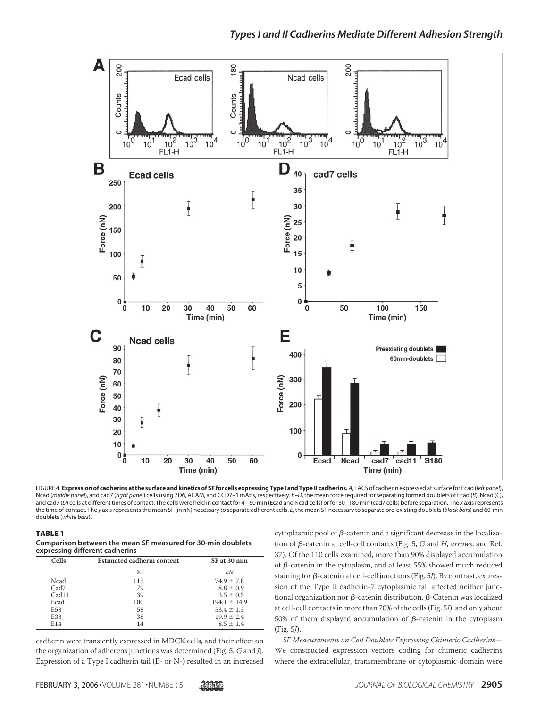



FIGURE 4. **Expression of cadherins at the surface and kinetics of SF for cells expressing Type I and Type II cadherins.** *A*, FACS of cadherin expressed at surfacefor Ecad (*left panel*), Ncad (*middle panel*), and cad7 (*right panel*) cells using 7D6, ACAM, and CCD7–1 mAbs, respectively. *B–D*, the mean force required for separating formed doublets of Ecad (*B*), Ncad (*C*), and cad7 (*D*) cells at different times of contact. The cells were held in contact for 4 – 60 min (Ecad and Ncad cells) or for 30 –180 min (cad7 cells) before separation. The *x* axis represents the time of contact. The *y* axis represents the mean SF (in nN) necessary to separate adherent cells. *E*, the mean SF necessary to separate pre-existing doublets (*black bars*) and 60-min doublets (*white bars*).

TABLE 1

**Comparison between the mean SF measured for 30-min doublets expressing different cadherins**

| <b>Cells</b> | Estimated cadherin content | SF at 30 min     |
|--------------|----------------------------|------------------|
|              | %                          | nN               |
| Ncad         | 115                        | $74.9 \pm 7.8$   |
| Cad7         | 79                         | $8.8 \pm 0.9$    |
| Cad11        | 39                         | $3.5 \pm 0.5$    |
| Ecad         | 100                        | $194.1 \pm 14.9$ |
| E58          | 58                         | $53.4 \pm 1.3$   |
| E38          | 38                         | $19.9 \pm 2.4$   |
| E14          | 14                         | $8.5 \pm 1.4$    |

cadherin were transiently expressed in MDCK cells, and their effect on the organization of adherens junctions was determined (Fig. 5, *G* and *J*). Expression of a Type I cadherin tail (E- or N-) resulted in an increased

cytoplasmic pool of  $\beta$ -catenin and a significant decrease in the localization of  $\beta$ -catenin at cell-cell contacts (Fig. 5,  $G$  and  $H$ , *arrows*, and Ref. 37). Of the 110 cells examined, more than 90% displayed accumulation of  $\beta$ -catenin in the cytoplasm, and at least 55% showed much reduced staining for  $\beta$ -catenin at cell-cell junctions (Fig. 5*J*). By contrast, expression of the Type II cadherin-7 cytoplasmic tail affected neither junctional organization nor  $\beta$ -catenin distribution.  $\beta$ -Catenin was localized at cell-cell contacts in more than 70% of the cells (Fig. 5*I*), and only about 50% of them displayed accumulation of  $\beta$ -catenin in the cytoplasm (Fig. 5*J*).

*SF Measurements on Cell Doublets Expressing Chimeric Cadherins*— We constructed expression vectors coding for chimeric cadherins where the extracellular, transmembrane or cytoplasmic domain were

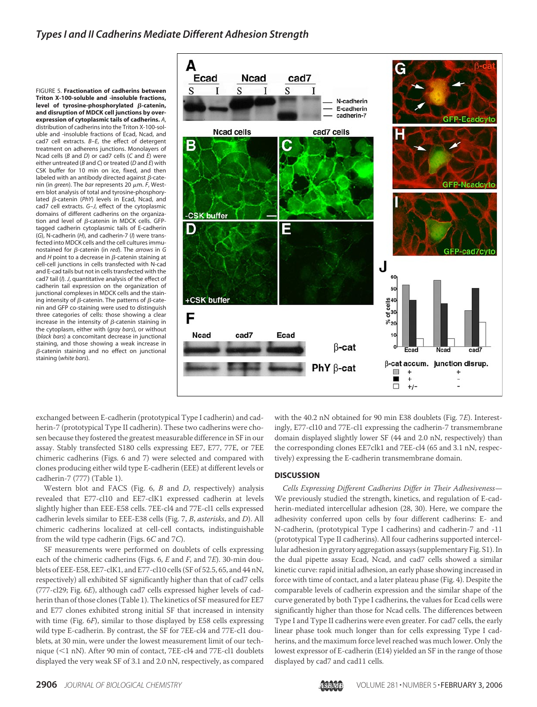FIGURE 5. **Fractionation of cadherins between Triton X-100-soluble and -insoluble fractions, level** of tyrosine-phosphorylated β-catenin, **and disruption of MDCK cell junctions by overexpression of cytoplasmic tails of cadherins.** *A*, distribution of cadherins into the Triton X-100-soluble and -insoluble fractions of Ecad, Ncad, and cad7 cell extracts. *B–E*, the effect of detergent treatment on adherens junctions. Monolayers of Ncad cells (*B* and *D*) or cad7 cells (*C* and *E*) were either untreated (*B* and *C*) or treated (*D* and *E*) with CSK buffer for 10 min on ice, fixed, and then labeled with an antibody directed against  $\beta$ -catenin (in *green*). The *bar* represents 20  $\mu$ m. F, Western blot analysis of total and tyrosine-phosphorylated β-catenin (PhY) levels in Ecad, Ncad, and cad7 cell extracts. *G–J*, effect of the cytoplasmic domains of different cadherins on the organization and level of  $\beta$ -catenin in MDCK cells. GFPtagged cadherin cytoplasmic tails of E-cadherin (*G*), N-cadherin (*H*), and cadherin-7 (*I*) were transfected into MDCK cells and the cell cultures immunostained for *β*-catenin (in *red*). The *arrows* in *G* and  $H$  point to a decrease in  $\beta$ -catenin staining at cell-cell junctions in cells transfected with N-cad and E-cad tails but not in cells transfected with the cad7 tail (*I*). *J*, quantitative analysis of the effect of cadherin tail expression on the organization of junctional complexes in MDCK cells and the staining intensity of  $\beta$ -catenin. The patterns of  $\beta$ -catenin and GFP co-staining were used to distinguish three categories of cells: those showing a clear increase in the intensity of  $\beta$ -catenin staining in the cytoplasm, either with (*gray bars*), or without (*black bars*) a concomitant decrease in junctional staining, and those showing a weak increase in  $\beta$ -catenin staining and no effect on junctional staining (*white bars*).



exchanged between E-cadherin (prototypical Type I cadherin) and cadherin-7 (prototypical Type II cadherin). These two cadherins were chosen because they fostered the greatest measurable difference in SF in our assay. Stably transfected S180 cells expressing EE7, E77, 77E, or 7EE chimeric cadherins (Figs. 6 and 7) were selected and compared with clones producing either wild type E-cadherin (EEE) at different levels or cadherin-7 (777) (Table 1).

Western blot and FACS (Fig. 6, *B* and *D*, respectively) analysis revealed that E77-cl10 and EE7-clK1 expressed cadherin at levels slightly higher than EEE-E58 cells. 7EE-cl4 and 77E-cl1 cells expressed cadherin levels similar to EEE-E38 cells (Fig. 7, *B*, *asterisks*, and *D*). All chimeric cadherins localized at cell-cell contacts, indistinguishable from the wild type cadherin (Figs. 6*C* and 7*C*).

SF measurements were performed on doublets of cells expressing each of the chimeric cadherins (Figs. 6, *E* and *F*, and 7*E*). 30-min doublets of EEE-E58, EE7-clK1, and E77-cl10 cells (SF of 52.5, 65, and 44 nN, respectively) all exhibited SF significantly higher than that of cad7 cells (777-cl29; Fig. 6*E*), although cad7 cells expressed higher levels of cadherin than of those clones (Table 1). The kinetics of SF measured for EE7 and E77 clones exhibited strong initial SF that increased in intensity with time (Fig. 6*F*), similar to those displayed by E58 cells expressing wild type E-cadherin. By contrast, the SF for 7EE-cl4 and 77E-cl1 doublets, at 30 min, were under the lowest measurement limit of our technique (<1 nN). After 90 min of contact, 7EE-cl4 and 77E-cl1 doublets displayed the very weak SF of 3.1 and 2.0 nN, respectively, as compared

with the 40.2 nN obtained for 90 min E38 doublets (Fig. 7*E*). Interestingly, E77-cl10 and 77E-cl1 expressing the cadherin-7 transmembrane domain displayed slightly lower SF (44 and 2.0 nN, respectively) than the corresponding clones EE7clk1 and 7EE-cl4 (65 and 3.1 nN, respectively) expressing the E-cadherin transmembrane domain.

#### **DISCUSSION**

*Cells Expressing Different Cadherins Differ in Their Adhesiveness*— We previously studied the strength, kinetics, and regulation of E-cadherin-mediated intercellular adhesion (28, 30). Here, we compare the adhesivity conferred upon cells by four different cadherins: E- and N-cadherin, (prototypical Type I cadherins) and cadherin-7 and -11 (prototypical Type II cadherins). All four cadherins supported intercellular adhesion in gyratory aggregation assays (supplementary Fig. S1). In the dual pipette assay Ecad, Ncad, and cad7 cells showed a similar kinetic curve: rapid initial adhesion, an early phase showing increased in force with time of contact, and a later plateau phase (Fig. 4). Despite the comparable levels of cadherin expression and the similar shape of the curve generated by both Type I cadherins, the values for Ecad cells were significantly higher than those for Ncad cells. The differences between Type I and Type II cadherins were even greater. For cad7 cells, the early linear phase took much longer than for cells expressing Type I cadherins, and the maximum force level reached was much lower. Only the lowest expressor of E-cadherin (E14) yielded an SF in the range of those displayed by cad7 and cad11 cells.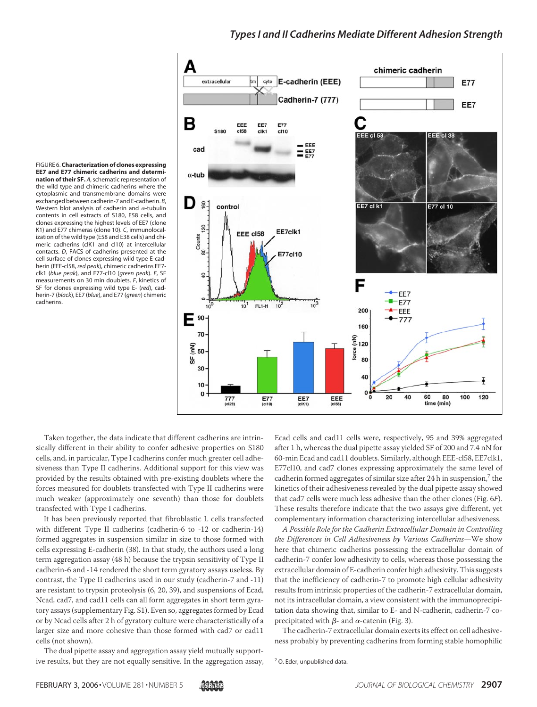### *Types I and II Cadherins Mediate Different Adhesion Strength*



FIGURE 6. **Characterization of clones expressing EE7 and E77 chimeric cadherins and determination of their SF.** *A*, schematic representation of the wild type and chimeric cadherins where the cytoplasmic and transmembrane domains were exchanged between cadherin-7 and E-cadherin. *B*, Western blot analysis of cadherin and  $\alpha$ -tubulin contents in cell extracts of S180, E58 cells, and clones expressing the highest levels of EE7 (clone K1) and E77 chimeras (clone 10). *C*, immunolocalization of the wild type (E58 and E38 cells) and chimeric cadherins (clK1 and cl10) at intercellular contacts. *D*, FACS of cadherins presented at the cell surface of clones expressing wild type E-cadherin (EEE-cl58, *red peak*), chimeric cadherins EE7 clk1 (*blue peak*), and E77-cl10 (*green peak*). *E*, SF measurements on 30 min doublets. *F*, kinetics of SF for clones expressing wild type E- (*red*), cadherin-7 (*black*), EE7 (*blue*), and E77 (*green*) chimeric cadherins.

Taken together, the data indicate that different cadherins are intrinsically different in their ability to confer adhesive properties on S180 cells, and, in particular, Type I cadherins confer much greater cell adhesiveness than Type II cadherins. Additional support for this view was provided by the results obtained with pre-existing doublets where the forces measured for doublets transfected with Type II cadherins were much weaker (approximately one seventh) than those for doublets transfected with Type I cadherins.

It has been previously reported that fibroblastic L cells transfected with different Type II cadherins (cadherin-6 to -12 or cadherin-14) formed aggregates in suspension similar in size to those formed with cells expressing E-cadherin (38). In that study, the authors used a long term aggregation assay (48 h) because the trypsin sensitivity of Type II cadherin-6 and -14 rendered the short term gyratory assays useless. By contrast, the Type II cadherins used in our study (cadherin-7 and -11) are resistant to trypsin proteolysis (6, 20, 39), and suspensions of Ecad, Ncad, cad7, and cad11 cells can all form aggregates in short term gyratory assays (supplementary Fig. S1). Even so, aggregates formed by Ecad or by Ncad cells after 2 h of gyratory culture were characteristically of a larger size and more cohesive than those formed with cad7 or cad11 cells (not shown).

The dual pipette assay and aggregation assay yield mutually supportive results, but they are not equally sensitive. In the aggregation assay, Ecad cells and cad11 cells were, respectively, 95 and 39% aggregated after 1 h, whereas the dual pipette assay yielded SF of 200 and 7.4 nN for 60-min Ecad and cad11 doublets. Similarly, although EEE-cl58, EE7clk1, E77cl10, and cad7 clones expressing approximately the same level of cadherin formed aggregates of similar size after 24 h in suspension, $\frac{7}{1}$  the kinetics of their adhesiveness revealed by the dual pipette assay showed that cad7 cells were much less adhesive than the other clones (Fig. 6*F*). These results therefore indicate that the two assays give different, yet complementary information characterizing intercellular adhesiveness.

*A Possible Role for the Cadherin Extracellular Domain in Controlling the Differences in Cell Adhesiveness by Various Cadherins*—We show here that chimeric cadherins possessing the extracellular domain of cadherin-7 confer low adhesivity to cells, whereas those possessing the extracellular domain of E-cadherin confer high adhesivity. This suggests that the inefficiency of cadherin-7 to promote high cellular adhesivity results from intrinsic properties of the cadherin-7 extracellular domain, not its intracellular domain, a view consistent with the immunoprecipitation data showing that, similar to E- and N-cadherin, cadherin-7 coprecipitated with  $\beta$ - and  $\alpha$ -catenin (Fig. 3).

The cadherin-7 extracellular domain exerts its effect on cell adhesiveness probably by preventing cadherins from forming stable homophilic

<sup>7</sup> O. Eder, unpublished data.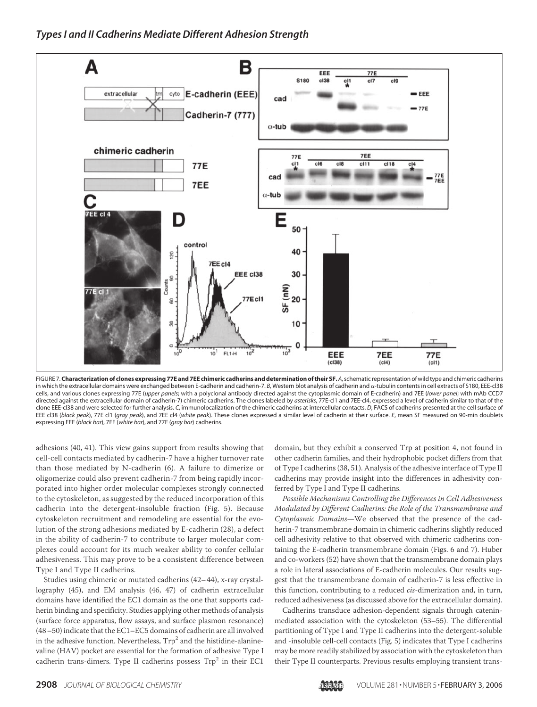

FIGURE 7.**Characterization of clones expressing 77E and 7EE chimeric cadherins and determination of their SF.** *A*, schematic representation of wild type and chimeric cadherins in which the extracellular domains were exchanged between E-cadherin and cadherin-7. *B*, Western blot analysis of cadherin and -tubulin contents in cell extracts of S180, EEE-cl38 cells, and various clones expressing 77E (*upper panels*; with a polyclonal antibody directed against the cytoplasmic domain of E-cadherin) and 7EE (*lower panel*; with mAb CCD7 directed against the extracellular domain of cadherin-7) chimeric cadherins. The clones labeled by *asterisks*, 77E-cl1 and 7EE-cl4, expressed a level of cadherin similar to that of the clone EEE-cl38 and were selected for further analysis. *C*, immunolocalization of the chimeric cadherins at intercellular contacts. *D*, FACS of cadherins presented at the cell surface of EEE cl38 (*black peak*), 77E cl1 (*gray peak*), and 7EE cl4 (*white peak*). These clones expressed a similar level of cadherin at their surface. *E*, mean SF measured on 90-min doublets expressing EEE (*black bar*), 7EE (*white bar*), and 77E (*gray bar*) cadherins.

adhesions (40, 41). This view gains support from results showing that cell-cell contacts mediated by cadherin-7 have a higher turnover rate than those mediated by N-cadherin (6). A failure to dimerize or oligomerize could also prevent cadherin-7 from being rapidly incorporated into higher order molecular complexes strongly connected to the cytoskeleton, as suggested by the reduced incorporation of this cadherin into the detergent-insoluble fraction (Fig. 5). Because cytoskeleton recruitment and remodeling are essential for the evolution of the strong adhesions mediated by E-cadherin (28), a defect in the ability of cadherin-7 to contribute to larger molecular complexes could account for its much weaker ability to confer cellular adhesiveness. This may prove to be a consistent difference between Type I and Type II cadherins.

Studies using chimeric or mutated cadherins (42–44), x-ray crystallography (45), and EM analysis (46, 47) of cadherin extracellular domains have identified the EC1 domain as the one that supports cadherin binding and specificity. Studies applying other methods of analysis (surface force apparatus, flow assays, and surface plasmon resonance) (48–50) indicate that the EC1–EC5 domains of cadherin are all involved in the adhesive function. Nevertheless,  $Trp<sup>2</sup>$  and the histidine-alaninevaline (HAV) pocket are essential for the formation of adhesive Type I cadherin trans-dimers. Type II cadherins possess  $Trp^2$  in their EC1

domain, but they exhibit a conserved Trp at position 4, not found in other cadherin families, and their hydrophobic pocket differs from that of Type I cadherins (38, 51). Analysis of the adhesive interface of Type II cadherins may provide insight into the differences in adhesivity conferred by Type I and Type II cadherins.

*Possible Mechanisms Controlling the Differences in Cell Adhesiveness Modulated by Different Cadherins: the Role of the Transmembrane and Cytoplasmic Domains*—We observed that the presence of the cadherin-7 transmembrane domain in chimeric cadherins slightly reduced cell adhesivity relative to that observed with chimeric cadherins containing the E-cadherin transmembrane domain (Figs. 6 and 7). Huber and co-workers (52) have shown that the transmembrane domain plays a role in lateral associations of E-cadherin molecules. Our results suggest that the transmembrane domain of cadherin-7 is less effective in this function, contributing to a reduced *cis*-dimerization and, in turn, reduced adhesiveness (as discussed above for the extracellular domain).

Cadherins transduce adhesion-dependent signals through cateninmediated association with the cytoskeleton (53–55). The differential partitioning of Type I and Type II cadherins into the detergent-soluble and -insoluble cell-cell contacts (Fig. 5) indicates that Type I cadherins may be more readily stabilized by association with the cytoskeleton than their Type II counterparts. Previous results employing transient trans-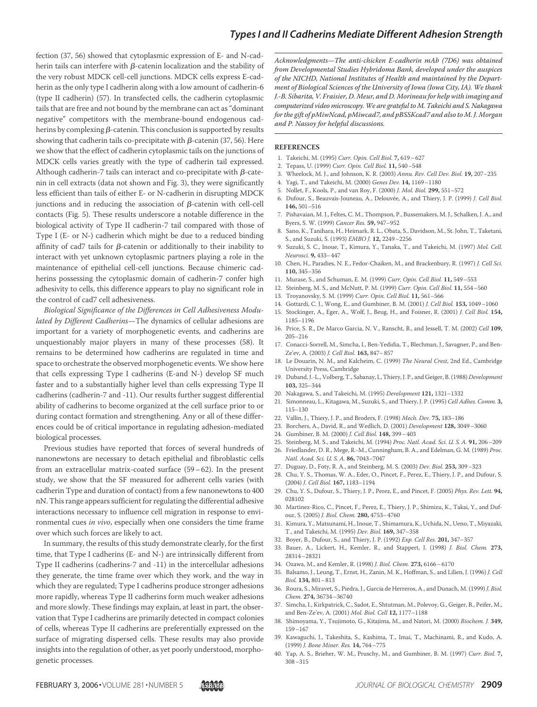fection (37, 56) showed that cytoplasmic expression of E- and N-cadherin tails can interfere with  $\beta$ -catenin localization and the stability of the very robust MDCK cell-cell junctions. MDCK cells express E-cadherin as the only type I cadherin along with a low amount of cadherin-6 (type II cadherin) (57). In transfected cells, the cadherin cytoplasmic tails that are free and not bound by the membrane can act as "dominant negative" competitors with the membrane-bound endogenous cadherins by complexing  $\beta$ -catenin. This conclusion is supported by results showing that cadherin tails co-precipitate with  $\beta$ -catenin (37, 56). Here we show that the effect of cadherin cytoplasmic tails on the junctions of MDCK cells varies greatly with the type of cadherin tail expressed. Although cadherin-7 tails can interact and co-precipitate with  $\beta$ -catenin in cell extracts (data not shown and Fig. 3), they were significantly less efficient than tails of either E- or N-cadherin in disrupting MDCK junctions and in reducing the association of  $\beta$ -catenin with cell-cell contacts (Fig. 5). These results underscore a notable difference in the biological activity of Type II cadherin-7 tail compared with those of Type I (E- or N-) cadherin which might be due to a reduced binding affinity of cad7 tails for  $\beta$ -catenin or additionally to their inability to interact with yet unknown cytoplasmic partners playing a role in the maintenance of epithelial cell-cell junctions. Because chimeric cadherins possessing the cytoplasmic domain of cadherin-7 confer high adhesivity to cells, this difference appears to play no significant role in the control of cad7 cell adhesiveness.

*Biological Significance of the Differences in Cell Adhesiveness Modulated by Different Cadherins*—The dynamics of cellular adhesions are important for a variety of morphogenetic events, and cadherins are unquestionably major players in many of these processes (58). It remains to be determined how cadherins are regulated in time and space to orchestrate the observed morphogenetic events. We show here that cells expressing Type I cadherins (E-and N-) develop SF much faster and to a substantially higher level than cells expressing Type II cadherins (cadherin-7 and -11). Our results further suggest differential ability of cadherins to become organized at the cell surface prior to or during contact formation and strengthening. Any or all of these differences could be of critical importance in regulating adhesion-mediated biological processes.

Previous studies have reported that forces of several hundreds of nanonewtons are necessary to detach epithelial and fibroblastic cells from an extracellular matrix-coated surface (59–62). In the present study, we show that the SF measured for adherent cells varies (with cadherin Type and duration of contact) from a few nanonewtons to 400 nN. This range appears sufficient for regulating the differential adhesive interactions necessary to influence cell migration in response to environmental cues *in vivo*, especially when one considers the time frame over which such forces are likely to act.

In summary, the results of this study demonstrate clearly, for the first time, that Type I cadherins (E- and N-) are intrinsically different from Type II cadherins (cadherins-7 and -11) in the intercellular adhesions they generate, the time frame over which they work, and the way in which they are regulated; Type I cadherins produce stronger adhesions more rapidly, whereas Type II cadherins form much weaker adhesions and more slowly. These findings may explain, at least in part, the observation that Type I cadherins are primarily detected in compact colonies of cells, whereas Type II cadherins are preferentially expressed on the surface of migrating dispersed cells. These results may also provide insights into the regulation of other, as yet poorly understood, morphogenetic processes.

*Acknowledgments—The anti-chicken E-cadherin mAb (7D6) was obtained from Developmental Studies Hybridoma Bank, developed under the auspices of the NICHD, National Institutes of Health and maintained by the Department of Biological Sciences of the University of Iowa (Iowa City, IA). We thank J.-B. Sibarita, V. Fraisier, D. Meur, and D. Morineau for help with imaging and computerized video microscopy. We are grateful to M. Takeichi and S. Nakagawa for the gift of pMiwNcad, pMiwcad7, and pBSSKcad7 and also to M. J. Morgan and P. Nassoy for helpful discussions.*

#### **REFERENCES**

- 1. Takeichi, M. (1995) *Curr. Opin. Cell Biol.* **7,** 619–627
- 2. Tepass, U. (1999) *Curr. Opin. Cell Biol.* **11,** 540–548
- 3. Wheelock, M. J., and Johnson, K. R. (2003) *Annu. Rev. Cell Dev. Biol.* **19,** 207–235
- 4. Yagi, T., and Takeichi, M. (2000) *Genes Dev.* **14,** 1169–1180
- 5. Nollet, F., Kools, P., and van Roy, F. (2000) *J. Mol. Biol.* **299,** 551–572
- 6. Dufour, S., Beauvais-Jouneau, A., Delouvée, A., and Thiery, J. P. (1999) *J. Cell Biol.* **146,** 501–516
- 7. Pishavaian, M. J., Feltes, C. M., Thompson, P., Bussemakers, M. J., Schalken, J. A., and Byers, S. W. (1999) *Cancer Res.* **59,** 947–952
- 8. Sano, K., Tanihara, H., Heimark, R. L., Obata, S., Davidson, M., St. John, T., Taketani, S., and Suzuki, S. (1993) *EMBO J.* **12,** 2249–2256
- 9. Suzuki, S. C., Inoue, T., Kimura, Y., Tanaka, T., and Takeichi, M. (1997) *Mol. Cell. Neurosci.* **9,** 433–447
- 10. Chen, H., Paradies, N. E., Fedor-Chaiken, M., and Brackenbury, R. (1997) *J. Cell Sci.* **110,** 345–356
- 11. Murase, S., and Schuman, E. M. (1999) *Curr. Opin. Cell Biol.* **11,** 549–553
- 12. Steinberg, M. S., and McNutt, P. M. (1999) *Curr. Opin. Cell Biol.* **11,** 554–560
- 13. Troyanovsky, S. M. (1999) *Curr. Opin. Cell Biol.* **11,** 561–566
- 14. Gottardi, C. J., Wong, E., and Gumbiner, B. M. (2001) *J. Cell Biol.* **153,** 1049–1060
- 15. Stockinger, A., Eger, A., Wolf, J., Beug, H., and Foisner, R. (2001) *J. Cell Biol.* **154,** 1185–1196
- 16. Price, S. R., De Marco Garcia, N. V., Ranscht, B., and Jessell, T. M. (2002) *Cell* **109,** 205–216
- 17. Conacci-Sorrell, M., Simcha, I., Ben-Yedidia, T., Blechman, J., Savagner, P., and Ben-Ze'ev, A. (2003) *J. Cell Biol.* **163,** 847–857
- 18. Le Douarin, N. M., and Kalcheim, C. (1999) *The Neural Crest*, 2nd Ed., Cambridge University Press, Cambridge
- 19. Duband, J.-L., Volberg, T., Sabanay, I., Thiery, J. P., and Geiger, B. (1988) *Development* **103,** 325–344
- 20. Nakagawa, S., and Takeichi, M. (1995) *Development* **121,** 1321–1332
- 21. Simonneau, L., Kitagawa, M., Suzuki, S., and Thiery, J. P. (1995) *Cell Adhes. Comm.* **3,** 115–130
- 22. Vallin, J., Thiery, J. P., and Broders, F. (1998) *Mech. Dev.* **75,** 183–186
- 23. Borchers, A., David, R., and Wedlich, D. (2001) *Development* **128,** 3049–3060
- 24. Gumbiner, B. M. (2000) *J. Cell Biol.* **148,** 399–403
- 25. Steinberg, M. S., and Takeichi, M. (1994) *Proc. Natl. Acad. Sci. U. S. A.* **91,** 206–209
- 26. Friedlander, D. R., Mege, R.-M., Cunningham, B. A., and Edelman, G. M. (1989) *Proc. Natl. Acad. Sci. U. S. A.* **86,** 7043–7047
- 27. Duguay, D., Foty, R. A., and Steinberg, M. S. (2003) *Dev. Biol.* **253,** 309–323
- 28. Chu, Y. S., Thomas, W. A., Eder, O., Pincet, F., Perez, E., Thiery, J. P., and Dufour, S. (2004) *J. Cell Biol.* **167,** 1183–1194
- 29. Chu, Y. S., Dufour, S., Thiery, J. P., Perez, E., and Pincet, F. (2005) *Phys. Rev. Lett.* **94,** 028102
- 30. Martinez-Rico, C., Pincet, F., Perez, E., Thiery, J. P., Shimizu, K., Takai, Y., and Dufour, S. (2005) *J. Biol. Chem.* **280,** 4753–4760
- 31. Kimura, Y., Matsunami, H., Inoue, T., Shimamura, K., Uchida, N., Ueno, T., Miyazaki, T., and Takeichi, M. (1995) *Dev. Biol.* **169,** 347–358
- 32. Boyer, B., Dufour, S., and Thiery, J. P. (1992) *Exp. Cell Res.* **201,** 347–357
- 33. Bauer, A., Lickert, H., Kemler, R., and Stappert, J. (1998) *J. Biol. Chem.* **273,** 28314–28321
- 34. Ozawa, M., and Kemler, R. (1998) *J. Biol. Chem.* **273,** 6166–6170
- 35. Balsamo, J., Leung, T., Ernst, H., Zanin, M. K., Hoffman, S., and Lilien, J. (1996) *J. Cell Biol.* **134,** 801–813
- 36. Roura, S., Miravet, S., Piedra, J., Garcia de Herreros, A., and Dunach, M. (1999) *J. Biol. Chem.* **274,** 36734–36740
- 37. Simcha, I., Kirkpatrick, C., Sadot, E., Shtutman, M., Polevoy, G., Geiger, B., Peifer, M., and Ben-Ze'ev, A. (2001) *Mol. Biol. Cell* **12,** 1177–1188
- 38. Shimoyama, Y., Tsujimoto, G., Kitajima, M., and Natori, M. (2000) *Biochem. J.* **349,** 159–167
- 39. Kawaguchi, J., Takeshita, S., Kashima, T., Imai, T., Machinami, R., and Kudo, A. (1999) *J. Bone Miner. Res.* **14,** 764–775
- 40. Yap, A. S., Brieher, W. M., Pruschy, M., and Gumbiner, B. M. (1997) *Curr. Biol.* **7,** 308–315